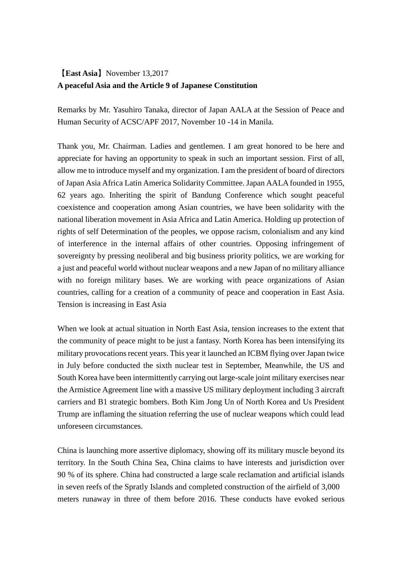# 【**East Asia**】November 13,2017 **A peaceful Asia and the Article 9 of Japanese Constitution**

Remarks by Mr. Yasuhiro Tanaka, director of Japan AALA at the Session of Peace and Human Security of ACSC/APF 2017, November 10 -14 in Manila.

Thank you, Mr. Chairman. Ladies and gentlemen. I am great honored to be here and appreciate for having an opportunity to speak in such an important session. First of all, allow me to introduce myself and my organization. I am the president of board of directors of Japan Asia Africa Latin America Solidarity Committee. Japan AALA founded in 1955, 62 years ago. Inheriting the spirit of Bandung Conference which sought peaceful coexistence and cooperation among Asian countries, we have been solidarity with the national liberation movement in Asia Africa and Latin America. Holding up protection of rights of self Determination of the peoples, we oppose racism, colonialism and any kind of interference in the internal affairs of other countries. Opposing infringement of sovereignty by pressing neoliberal and big business priority politics, we are working for a just and peaceful world without nuclear weapons and a new Japan of no military alliance with no foreign military bases. We are working with peace organizations of Asian countries, calling for a creation of a community of peace and cooperation in East Asia. Tension is increasing in East Asia

When we look at actual situation in North East Asia, tension increases to the extent that the community of peace might to be just a fantasy. North Korea has been intensifying its military provocations recent years. This year it launched an ICBM flying over Japan twice in July before conducted the sixth nuclear test in September, Meanwhile, the US and South Korea have been intermittently carrying out large-scale joint military exercises near the Armistice Agreement line with a massive US military deployment including 3 aircraft carriers and B1 strategic bombers. Both Kim Jong Un of North Korea and Us President Trump are inflaming the situation referring the use of nuclear weapons which could lead unforeseen circumstances.

China is launching more assertive diplomacy, showing off its military muscle beyond its territory. In the South China Sea, China claims to have interests and jurisdiction over 90 % of its sphere. China had constructed a large scale reclamation and artificial islands in seven reefs of the Spratly Islands and completed construction of the airfield of 3,000 meters runaway in three of them before 2016. These conducts have evoked serious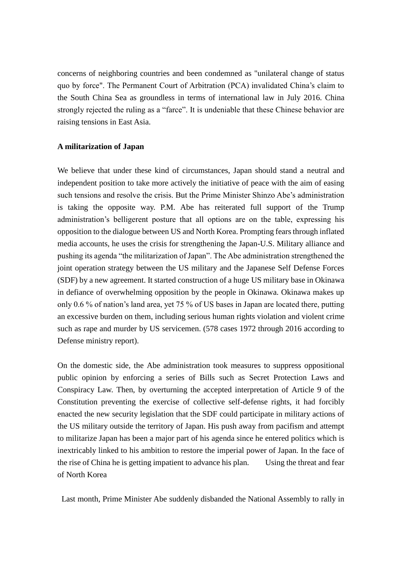concerns of neighboring countries and been condemned as "unilateral change of status quo by force". The Permanent Court of Arbitration (PCA) invalidated China's claim to the South China Sea as groundless in terms of international law in July 2016. China strongly rejected the ruling as a "farce". It is undeniable that these Chinese behavior are raising tensions in East Asia.

### **A militarization of Japan**

We believe that under these kind of circumstances, Japan should stand a neutral and independent position to take more actively the initiative of peace with the aim of easing such tensions and resolve the crisis. But the Prime Minister Shinzo Abe's administration is taking the opposite way. P.M. Abe has reiterated full support of the Trump administration's belligerent posture that all options are on the table, expressing his opposition to the dialogue between US and North Korea. Prompting fears through inflated media accounts, he uses the crisis for strengthening the Japan-U.S. Military alliance and pushing its agenda "the militarization of Japan". The Abe administration strengthened the joint operation strategy between the US military and the Japanese Self Defense Forces (SDF) by a new agreement. It started construction of a huge US military base in Okinawa in defiance of overwhelming opposition by the people in Okinawa. Okinawa makes up only 0.6 % of nation's land area, yet 75 % of US bases in Japan are located there, putting an excessive burden on them, including serious human rights violation and violent crime such as rape and murder by US servicemen. (578 cases 1972 through 2016 according to Defense ministry report).

On the domestic side, the Abe administration took measures to suppress oppositional public opinion by enforcing a series of Bills such as Secret Protection Laws and Conspiracy Law. Then, by overturning the accepted interpretation of Article 9 of the Constitution preventing the exercise of collective self-defense rights, it had forcibly enacted the new security legislation that the SDF could participate in military actions of the US military outside the territory of Japan. His push away from pacifism and attempt to militarize Japan has been a major part of his agenda since he entered politics which is inextricably linked to his ambition to restore the imperial power of Japan. In the face of the rise of China he is getting impatient to advance his plan. Using the threat and fear of North Korea

Last month, Prime Minister Abe suddenly disbanded the National Assembly to rally in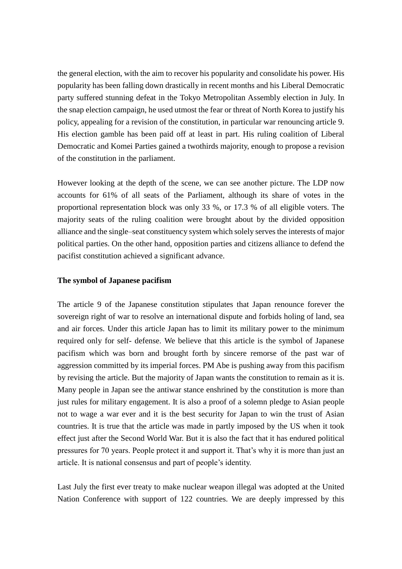the general election, with the aim to recover his popularity and consolidate his power. His popularity has been falling down drastically in recent months and his Liberal Democratic party suffered stunning defeat in the Tokyo Metropolitan Assembly election in July. In the snap election campaign, he used utmost the fear or threat of North Korea to justify his policy, appealing for a revision of the constitution, in particular war renouncing article 9. His election gamble has been paid off at least in part. His ruling coalition of Liberal Democratic and Komei Parties gained a twothirds majority, enough to propose a revision of the constitution in the parliament.

However looking at the depth of the scene, we can see another picture. The LDP now accounts for 61% of all seats of the Parliament, although its share of votes in the proportional representation block was only 33 %, or 17.3 % of all eligible voters. The majority seats of the ruling coalition were brought about by the divided opposition alliance and the single–seat constituency system which solely serves the interests of major political parties. On the other hand, opposition parties and citizens alliance to defend the pacifist constitution achieved a significant advance.

#### **The symbol of Japanese pacifism**

The article 9 of the Japanese constitution stipulates that Japan renounce forever the sovereign right of war to resolve an international dispute and forbids holing of land, sea and air forces. Under this article Japan has to limit its military power to the minimum required only for self- defense. We believe that this article is the symbol of Japanese pacifism which was born and brought forth by sincere remorse of the past war of aggression committed by its imperial forces. PM Abe is pushing away from this pacifism by revising the article. But the majority of Japan wants the constitution to remain as it is. Many people in Japan see the antiwar stance enshrined by the constitution is more than just rules for military engagement. It is also a proof of a solemn pledge to Asian people not to wage a war ever and it is the best security for Japan to win the trust of Asian countries. It is true that the article was made in partly imposed by the US when it took effect just after the Second World War. But it is also the fact that it has endured political pressures for 70 years. People protect it and support it. That's why it is more than just an article. It is national consensus and part of people's identity.

Last July the first ever treaty to make nuclear weapon illegal was adopted at the United Nation Conference with support of 122 countries. We are deeply impressed by this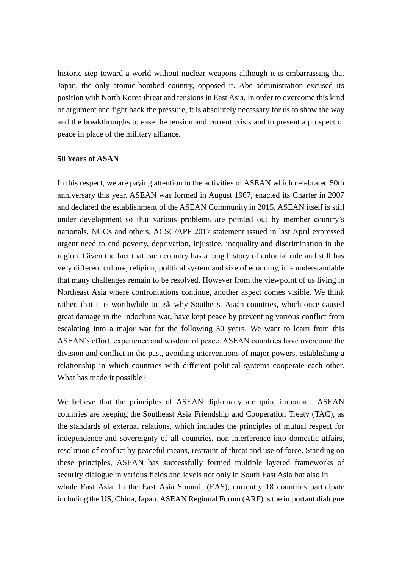historic step toward a world without nuclear weapons although it is embarrassing that Japan, the only atomic-bombed country, opposed it. Abe administration excused its position with North Korea threat and tensions in East Asia. In order to overcome this kind of argument and fight back the pressure, it is absolutely necessary for us to show the way and the breakthroughs to ease the tension and current crisis and to present a prospect of peace in place of the military alliance.

#### **50 Years of ASAN**

In this respect, we are paying attention to the activities of ASEAN which celebrated 50th anniversary this year. ASEAN was formed in August 1967, enacted its Charter in 2007 and declared the establishment of the ASEAN Community in 2015. ASEAN itself is still under development so that various problems are pointed out by member country's nationals, NGOs and others. ACSC/APF 2017 statement issued in last April expressed urgent need to end poverty, deprivation, injustice, inequality and discrimination in the region. Given the fact that each country has a long history of colonial rule and still has very different culture, religion, political system and size of economy, it is understandable that many challenges remain to be resolved. However from the viewpoint of us living in Northeast Asia where confrontations continue, another aspect comes visible. We think rather, that it is worthwhile to ask why Southeast Asian countries, which once caused great damage in the Indochina war, have kept peace by preventing various conflict from escalating into a major war for the following 50 years. We want to learn from this ASEAN's effort, experience and wisdom of peace. ASEAN countries have overcome the division and conflict in the past, avoiding interventions of major powers, establishing a relationship in which countries with different political systems cooperate each other. What has made it possible?

We believe that the principles of ASEAN diplomacy are quite important. ASEAN countries are keeping the Southeast Asia Friendship and Cooperation Treaty (TAC), as the standards of external relations, which includes the principles of mutual respect for independence and sovereignty of all countries, non-interference into domestic affairs, resolution of conflict by peaceful means, restraint of threat and use of force. Standing on these principles, ASEAN has successfully formed multiple layered frameworks of security dialogue in various fields and levels not only in South East Asia but also in whole East Asia. In the East Asia Summit (EAS), currently 18 countries participate including the US, China, Japan. ASEAN Regional Forum (ARF) is the important dialogue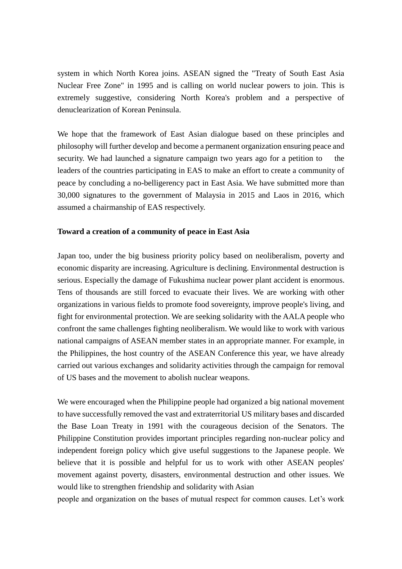system in which North Korea joins. ASEAN signed the "Treaty of South East Asia Nuclear Free Zone" in 1995 and is calling on world nuclear powers to join. This is extremely suggestive, considering North Korea's problem and a perspective of denuclearization of Korean Peninsula.

We hope that the framework of East Asian dialogue based on these principles and philosophy will further develop and become a permanent organization ensuring peace and security. We had launched a signature campaign two years ago for a petition to the leaders of the countries participating in EAS to make an effort to create a community of peace by concluding a no-belligerency pact in East Asia. We have submitted more than 30,000 signatures to the government of Malaysia in 2015 and Laos in 2016, which assumed a chairmanship of EAS respectively.

## **Toward a creation of a community of peace in East Asia**

Japan too, under the big business priority policy based on neoliberalism, poverty and economic disparity are increasing. Agriculture is declining. Environmental destruction is serious. Especially the damage of Fukushima nuclear power plant accident is enormous. Tens of thousands are still forced to evacuate their lives. We are working with other organizations in various fields to promote food sovereignty, improve people's living, and fight for environmental protection. We are seeking solidarity with the AALA people who confront the same challenges fighting neoliberalism. We would like to work with various national campaigns of ASEAN member states in an appropriate manner. For example, in the Philippines, the host country of the ASEAN Conference this year, we have already carried out various exchanges and solidarity activities through the campaign for removal of US bases and the movement to abolish nuclear weapons.

We were encouraged when the Philippine people had organized a big national movement to have successfully removed the vast and extraterritorial US military bases and discarded the Base Loan Treaty in 1991 with the courageous decision of the Senators. The Philippine Constitution provides important principles regarding non-nuclear policy and independent foreign policy which give useful suggestions to the Japanese people. We believe that it is possible and helpful for us to work with other ASEAN peoples' movement against poverty, disasters, environmental destruction and other issues. We would like to strengthen friendship and solidarity with Asian

people and organization on the bases of mutual respect for common causes. Let's work